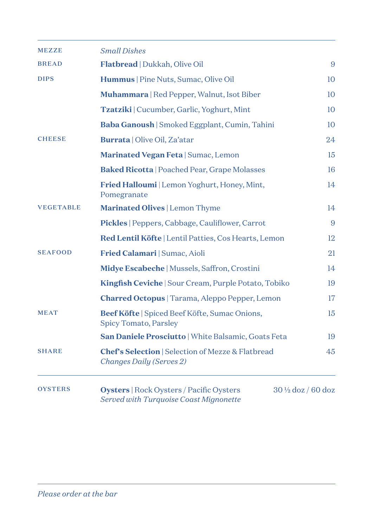| <b>MEZZE</b>     | <b>Small Dishes</b>                                                                       |                              |
|------------------|-------------------------------------------------------------------------------------------|------------------------------|
| <b>BREAD</b>     | Flatbread   Dukkah, Olive Oil                                                             | 9                            |
| <b>DIPS</b>      | Hummus   Pine Nuts, Sumac, Olive Oil                                                      | 10                           |
|                  | <b>Muhammara</b>   Red Pepper, Walnut, Isot Biber                                         | 10                           |
|                  | Tzatziki   Cucumber, Garlic, Yoghurt, Mint                                                | 10                           |
|                  | Baba Ganoush   Smoked Eggplant, Cumin, Tahini                                             | 10                           |
| <b>CHEESE</b>    | Burrata   Olive Oil, Za'atar                                                              | 24                           |
|                  | Marinated Vegan Feta   Sumac, Lemon                                                       | 15                           |
|                  | <b>Baked Ricotta   Poached Pear, Grape Molasses</b>                                       | 16                           |
|                  | <b>Fried Halloumi</b>   Lemon Yoghurt, Honey, Mint,<br>Pomegranate                        | 14                           |
| <b>VEGETABLE</b> | Marinated Olives   Lemon Thyme                                                            | 14                           |
|                  | <b>Pickles</b>   Peppers, Cabbage, Cauliflower, Carrot                                    | 9                            |
|                  | Red Lentil Köfte   Lentil Patties, Cos Hearts, Lemon                                      | 12                           |
| <b>SEAFOOD</b>   | Fried Calamari   Sumac, Aioli                                                             | 21                           |
|                  | Midye Escabeche   Mussels, Saffron, Crostini                                              | 14                           |
|                  | <b>Kingfish Ceviche</b>   Sour Cream, Purple Potato, Tobiko                               | 19                           |
|                  | Charred Octopus   Tarama, Aleppo Pepper, Lemon                                            | 17                           |
| <b>MEAT</b>      | Beef Köfte   Spiced Beef Köfte, Sumac Onions,<br><b>Spicy Tomato, Parsley</b>             | 15                           |
|                  | San Daniele Prosciutto   White Balsamic, Goats Feta                                       | 19                           |
| <b>SHARE</b>     | <b>Chef's Selection   Selection of Mezze &amp; Flatbread</b><br>Changes Daily (Serves 2)  | 45                           |
| <b>OYSTERS</b>   | <b>Oysters</b>   Rock Oysters / Pacific Oysters<br>Served with Turquoise Coast Mignonette | $30\frac{1}{2}$ doz / 60 doz |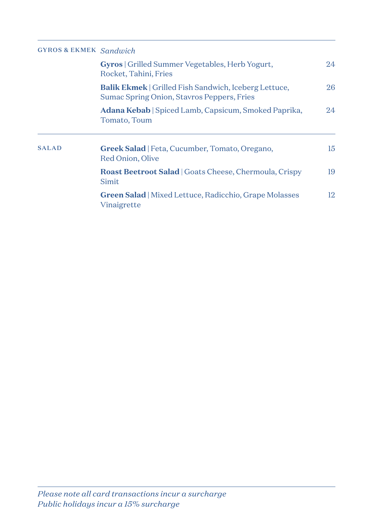## GYROS & EKMEK *Sandwich*

|              | <b>Gyros</b>   Grilled Summer Vegetables, Herb Yogurt,<br>Rocket, Tahini, Fries                            | 24 |
|--------------|------------------------------------------------------------------------------------------------------------|----|
|              | <b>Balik Ekmek</b>   Grilled Fish Sandwich, Iceberg Lettuce,<br>Sumac Spring Onion, Stavros Peppers, Fries | 26 |
|              | Adana Kebab   Spiced Lamb, Capsicum, Smoked Paprika,<br>Tomato, Toum                                       | 24 |
| <b>SALAD</b> | <b>Greek Salad</b>   Feta, Cucumber, Tomato, Oregano,<br>Red Onion, Olive                                  | 15 |
|              | <b>Roast Beetroot Salad</b>   Goats Cheese, Chermoula, Crispy<br>Simit                                     | 19 |
|              | <b>Green Salad</b>   Mixed Lettuce, Radicchio, Grape Molasses<br>Vinaigrette                               | 12 |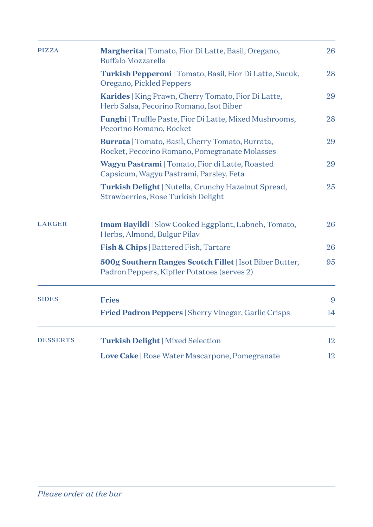| <b>PIZZA</b>    | Margherita   Tomato, Fior Di Latte, Basil, Oregano,<br>Buffalo Mozzarella                                | 26 |
|-----------------|----------------------------------------------------------------------------------------------------------|----|
|                 | <b>Turkish Pepperoni</b>   Tomato, Basil, Fior Di Latte, Sucuk,<br>Oregano, Pickled Peppers              | 28 |
|                 | Karides   King Prawn, Cherry Tomato, Fior Di Latte,<br>Herb Salsa, Pecorino Romano, Isot Biber           | 29 |
|                 | Funghi   Truffle Paste, Fior Di Latte, Mixed Mushrooms,<br>Pecorino Romano, Rocket                       | 28 |
|                 | <b>Burrata</b>   Tomato, Basil, Cherry Tomato, Burrata,<br>Rocket, Pecorino Romano, Pomegranate Molasses | 29 |
|                 | Wagyu Pastrami   Tomato, Fior di Latte, Roasted<br>Capsicum, Wagyu Pastrami, Parsley, Feta               | 29 |
|                 | Turkish Delight   Nutella, Crunchy Hazelnut Spread,<br>Strawberries, Rose Turkish Delight                | 25 |
| <b>LARGER</b>   | <b>Imam Bayildi</b>   Slow Cooked Eggplant, Labneh, Tomato,<br>Herbs, Almond, Bulgur Pilav               | 26 |
|                 | <b>Fish &amp; Chips</b>   Battered Fish, Tartare                                                         | 26 |
|                 | 500g Southern Ranges Scotch Fillet   Isot Biber Butter,<br>Padron Peppers, Kipfler Potatoes (serves 2)   | 95 |
| <b>SIDES</b>    | <b>Fries</b>                                                                                             | 9  |
|                 | <b>Fried Padron Peppers</b>   Sherry Vinegar, Garlic Crisps                                              | 14 |
| <b>DESSERTS</b> | <b>Turkish Delight</b>   Mixed Selection                                                                 | 12 |
|                 | Love Cake   Rose Water Mascarpone, Pomegranate                                                           | 12 |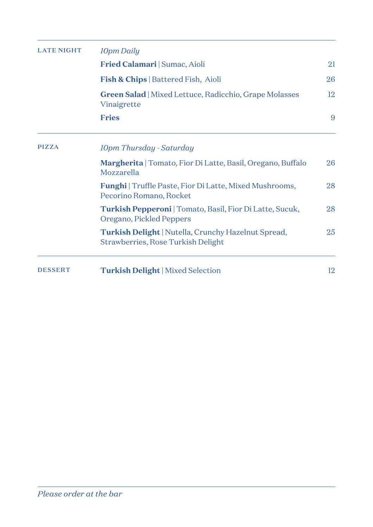| <b>LATE NIGHT</b> | 10pm Daily                                                                                       |    |  |  |
|-------------------|--------------------------------------------------------------------------------------------------|----|--|--|
|                   | Fried Calamari   Sumac, Aioli                                                                    | 21 |  |  |
|                   | <b>Fish &amp; Chips</b>   Battered Fish, Aioli                                                   | 26 |  |  |
|                   | <b>Green Salad</b>   Mixed Lettuce, Radicchio, Grape Molasses<br>Vinaigrette                     | 12 |  |  |
|                   | <b>Fries</b>                                                                                     | 9  |  |  |
| <b>PIZZA</b>      | 10pm Thursday - Saturday                                                                         |    |  |  |
|                   | <b>Margherita</b>   Tomato, Fior Di Latte, Basil, Oregano, Buffalo<br>Mozzarella                 | 26 |  |  |
|                   | <b>Funghi</b>   Truffle Paste, Fior Di Latte, Mixed Mushrooms,<br>Pecorino Romano, Rocket        | 28 |  |  |
|                   | <b>Turkish Pepperoni</b>   Tomato, Basil, Fior Di Latte, Sucuk,<br>Oregano, Pickled Peppers      | 28 |  |  |
|                   | <b>Turkish Delight</b>   Nutella, Crunchy Hazelnut Spread,<br>Strawberries, Rose Turkish Delight | 25 |  |  |
| <b>DESSERT</b>    | <b>Turkish Delight</b>   Mixed Selection                                                         | 12 |  |  |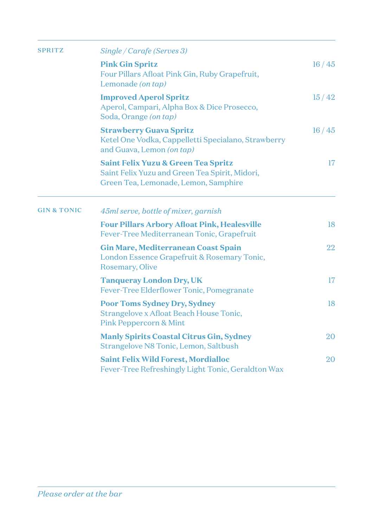| <b>SPRITZ</b>          | Single / Carafe (Serves 3)                                                                                                    |                 |
|------------------------|-------------------------------------------------------------------------------------------------------------------------------|-----------------|
|                        | <b>Pink Gin Spritz</b><br>Four Pillars Afloat Pink Gin, Ruby Grapefruit,<br>Lemonade (on tap)                                 | 16/45           |
|                        | <b>Improved Aperol Spritz</b><br>Aperol, Campari, Alpha Box & Dice Prosecco,<br>Soda, Orange (on tap)                         | 15/42           |
|                        | <b>Strawberry Guava Spritz</b><br>Ketel One Vodka, Cappelletti Specialano, Strawberry<br>and Guava, Lemon (on tap)            | 16/45           |
|                        | Saint Felix Yuzu & Green Tea Spritz<br>Saint Felix Yuzu and Green Tea Spirit, Midori,<br>Green Tea, Lemonade, Lemon, Samphire | 17              |
| <b>GIN &amp; TONIC</b> | 45ml serve, bottle of mixer, garnish                                                                                          |                 |
|                        | <b>Four Pillars Arbory Afloat Pink, Healesville</b><br>Fever-Tree Mediterranean Tonic, Grapefruit                             | 18              |
|                        | <b>Gin Mare, Mediterranean Coast Spain</b><br>London Essence Grapefruit & Rosemary Tonic,<br>Rosemary, Olive                  | 22              |
|                        | <b>Tanqueray London Dry, UK</b><br>Fever-Tree Elderflower Tonic, Pomegranate                                                  | 17 <sup>2</sup> |
|                        | <b>Poor Toms Sydney Dry, Sydney</b><br>Strangelove x Afloat Beach House Tonic,<br><b>Pink Peppercorn &amp; Mint</b>           | 18              |
|                        | <b>Manly Spirits Coastal Citrus Gin, Sydney</b><br>Strangelove N8 Tonic, Lemon, Saltbush                                      | 20              |
|                        | <b>Saint Felix Wild Forest, Mordialloc</b><br>Fever-Tree Refreshingly Light Tonic, Geraldton Wax                              | 20              |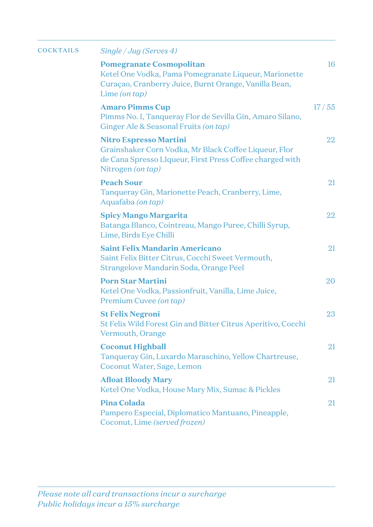| <b>COCKTAILS</b> | Single / Jug (Serves 4)                                                                                                                                                 |       |
|------------------|-------------------------------------------------------------------------------------------------------------------------------------------------------------------------|-------|
|                  | <b>Pomegranate Cosmopolitan</b><br>Ketel One Vodka, Pama Pomegranate Liqueur, Marionette<br>Curaçao, Cranberry Juice, Burnt Orange, Vanilla Bean,<br>Lime (on $tap$ )   | 16    |
|                  | <b>Amaro Pimms Cup</b><br>Pimms No. 1, Tanqueray Flor de Sevilla Gin, Amaro Silano,<br>Ginger Ale & Seasonal Fruits (on tap)                                            | 17/55 |
|                  | <b>Nitro Espresso Martini</b><br>Grainshaker Corn Vodka, Mr Black Coffee Liqueur, Flor<br>de Cana Spresso LIqueur, First Press Coffee charged with<br>Nitrogen (on tap) | 22    |
|                  | <b>Peach Sour</b><br>Tanqueray Gin, Marionette Peach, Cranberry, Lime,<br>Aquafaba (on tap)                                                                             | 21    |
|                  | <b>Spicy Mango Margarita</b><br>Batanga Blanco, Cointreau, Mango Puree, Chilli Syrup,<br>Lime, Birds Eye Chilli                                                         | 22    |
|                  | <b>Saint Felix Mandarin Americano</b><br>Saint Felix Bitter Citrus, Cocchi Sweet Vermouth,<br>Strangelove Mandarin Soda, Orange Peel                                    | 21    |
|                  | <b>Porn Star Martini</b><br>Ketel One Vodka, Passionfruit, Vanilla, Lime Juice,<br>Premium Cuvee (on tap)                                                               | 20    |
|                  | <b>St Felix Negroni</b><br>St Felix Wild Forest Gin and Bitter Citrus Aperitivo, Cocchi<br>Vermouth, Orange                                                             | 23    |
|                  | <b>Coconut Highball</b><br>Tanqueray Gin, Luxardo Maraschino, Yellow Chartreuse,<br>Coconut Water, Sage, Lemon                                                          | 21    |
|                  | <b>Afloat Bloody Mary</b><br>Ketel One Vodka, House Mary Mix, Sumac & Pickles                                                                                           | 21    |
|                  | <b>Pina Colada</b><br>Pampero Especial, Diplomatico Mantuano, Pineapple,<br>Coconut, Lime (served frozen)                                                               | 21    |
|                  |                                                                                                                                                                         |       |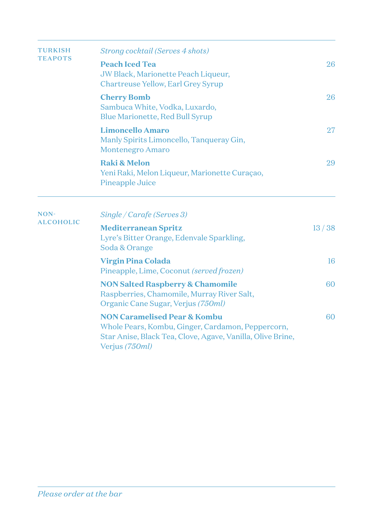| <b>TURKISH</b>   | Strong cocktail (Serves 4 shots)                                                                                                                                             |       |  |
|------------------|------------------------------------------------------------------------------------------------------------------------------------------------------------------------------|-------|--|
| <b>TEAPOTS</b>   | <b>Peach Iced Tea</b><br>JW Black, Marionette Peach Liqueur,<br>Chartreuse Yellow, Earl Grey Syrup                                                                           | 26    |  |
|                  | <b>Cherry Bomb</b><br>Sambuca White, Vodka, Luxardo,<br><b>Blue Marionette, Red Bull Syrup</b>                                                                               | 26    |  |
|                  | <b>Limoncello Amaro</b><br>Manly Spirits Limoncello, Tanqueray Gin,<br><b>Montenegro Amaro</b>                                                                               | 27    |  |
|                  | <b>Raki &amp; Melon</b><br>Yeni Raki, Melon Liqueur, Marionette Curaçao,<br>Pineapple Juice                                                                                  | 29    |  |
| NON-             | Single / Carafe (Serves 3)                                                                                                                                                   |       |  |
| <b>ALCOHOLIC</b> | <b>Mediterranean Spritz</b><br>Lyre's Bitter Orange, Edenvale Sparkling,<br>Soda & Orange                                                                                    | 13/38 |  |
|                  | <b>Virgin Pina Colada</b><br>Pineapple, Lime, Coconut (served frozen)                                                                                                        | 16    |  |
|                  | <b>NON Salted Raspberry &amp; Chamomile</b><br>Raspberries, Chamomile, Murray River Salt,<br>Organic Cane Sugar, Verjus (750ml)                                              | 60    |  |
|                  | <b>NON Caramelised Pear &amp; Kombu</b><br>Whole Pears, Kombu, Ginger, Cardamon, Peppercorn,<br>Star Anise, Black Tea, Clove, Agave, Vanilla, Olive Brine,<br>Verjus (750ml) | 60    |  |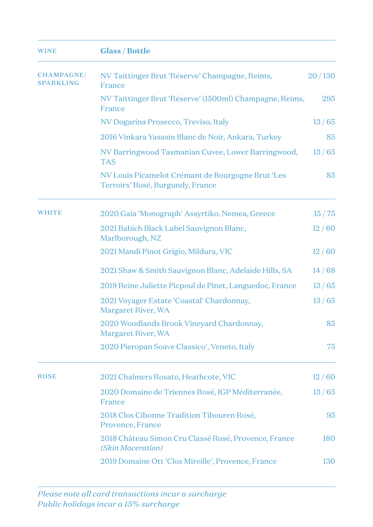| <b>WINE</b>                           | <b>Glass / Bottle</b>                                                                 |        |
|---------------------------------------|---------------------------------------------------------------------------------------|--------|
| <b>CHAMPAGNE/</b><br><b>SPARKLING</b> | NV Taittinger Brut 'Réserve' Champagne, Reims,<br>France                              | 20/130 |
|                                       | NV Taittinger Brut 'Réserve' (1500ml) Champagne, Reims,<br>France                     | 295    |
|                                       | NV Dogarina Prosecco, Treviso, Italy                                                  | 13/65  |
|                                       | 2016 Vinkara Yasasin Blanc de Noir, Ankara, Turkey                                    | 85     |
|                                       | NV Barringwood Tasmanian Cuvee, Lower Barringwood,<br><b>TAS</b>                      | 13/65  |
|                                       | NV Louis Picamelot Crémant de Bourgogne Brut 'Les<br>Terroirs' Rosé, Burgundy, France | 85     |
| <b>WHITE</b>                          | 2020 Gaia 'Monograph' Assyrtiko, Nemea, Greece                                        | 15/75  |
|                                       | 2021 Babich Black Label Sauvignon Blanc,<br>Marlborough, NZ                           | 12/60  |
|                                       | 2021 Mandi Pinot Grigio, Mildura, VIC                                                 | 12/60  |
|                                       | 2021 Shaw & Smith Sauvignon Blanc, Adelaide Hills, SA                                 | 14/68  |
|                                       | 2019 Reine Juliette Picpoul de Pinet, Languedoc, France                               | 13/65  |
|                                       | 2021 Voyager Estate 'Coastal' Chardonnay,<br>Margaret River, WA                       | 13/65  |
|                                       | 2020 Woodlands Brook Vineyard Chardonnay,<br>Margaret River, WA                       | 85     |
|                                       | 2020 Pieropan Soave Classico', Veneto, Italy                                          | 75     |
| <b>ROSE</b>                           | 2021 Chalmers Rosato, Heathcote, VIC                                                  | 12/60  |
|                                       | 2020 Domaine de Triennes Rosé, IGP Méditerranée,<br>France                            | 13/65  |
|                                       | 2018 Clos Cibonne Tradition Tibouren Rosé,<br>Provence, France                        | 95     |
|                                       | 2018 Château Simon Cru Classé Rosé, Provence, France<br>(Skin Maceration)             | 180    |
|                                       | 2019 Domaine Ott 'Clos Mireille', Provence, France                                    | 130    |